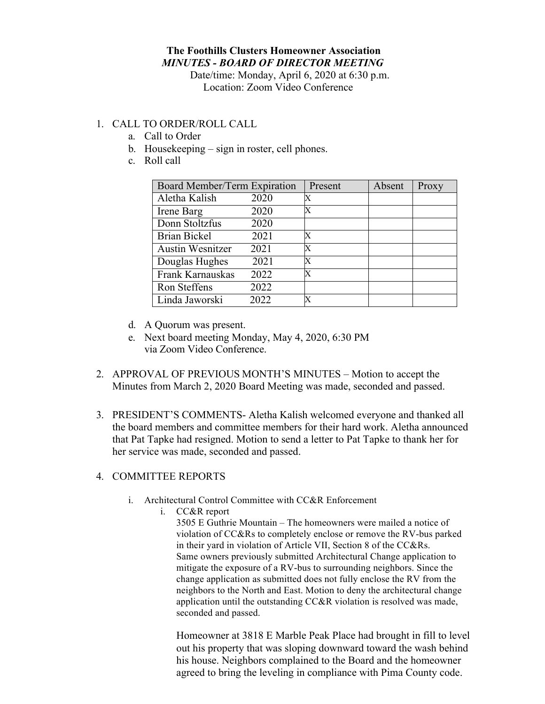## **The Foothills Clusters Homeowner Association** *MINUTES - BOARD OF DIRECTOR MEETING*

Date/time: Monday, April 6, 2020 at 6:30 p.m. Location: Zoom Video Conference

## 1. CALL TO ORDER/ROLL CALL

- a. Call to Order
- b. Housekeeping sign in roster, cell phones.
- c. Roll call

| Board Member/Term Expiration |      | Present | Absent | Proxy |
|------------------------------|------|---------|--------|-------|
| Aletha Kalish                | 2020 | X       |        |       |
| Irene Barg                   | 2020 | X       |        |       |
| Donn Stoltzfus               | 2020 |         |        |       |
| <b>Brian Bickel</b>          | 2021 | X       |        |       |
| <b>Austin Wesnitzer</b>      | 2021 | X       |        |       |
| Douglas Hughes               | 2021 | X       |        |       |
| Frank Karnauskas             | 2022 | X       |        |       |
| Ron Steffens                 | 2022 |         |        |       |
| Linda Jaworski               | 2022 | X       |        |       |

- d. A Quorum was present.
- e. Next board meeting Monday, May 4, 2020, 6:30 PM via Zoom Video Conference.
- 2. APPROVAL OF PREVIOUS MONTH'S MINUTES Motion to accept the Minutes from March 2, 2020 Board Meeting was made, seconded and passed.
- 3. PRESIDENT'S COMMENTS- Aletha Kalish welcomed everyone and thanked all the board members and committee members for their hard work. Aletha announced that Pat Tapke had resigned. Motion to send a letter to Pat Tapke to thank her for her service was made, seconded and passed.

## 4. COMMITTEE REPORTS

- i. Architectural Control Committee with CC&R Enforcement
	- i. CC&R report

3505 E Guthrie Mountain – The homeowners were mailed a notice of violation of CC&Rs to completely enclose or remove the RV-bus parked in their yard in violation of Article VII, Section 8 of the CC&Rs. Same owners previously submitted Architectural Change application to mitigate the exposure of a RV-bus to surrounding neighbors. Since the change application as submitted does not fully enclose the RV from the neighbors to the North and East. Motion to deny the architectural change application until the outstanding CC&R violation is resolved was made, seconded and passed.

Homeowner at 3818 E Marble Peak Place had brought in fill to level out his property that was sloping downward toward the wash behind his house. Neighbors complained to the Board and the homeowner agreed to bring the leveling in compliance with Pima County code.